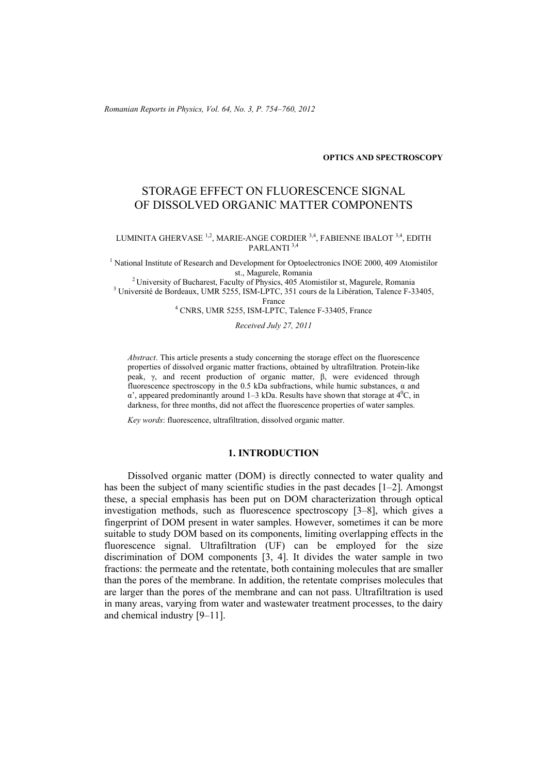*Romanian Reports in Physics, Vol. 64, No. 3, P. 754–760, 2012*

#### **OPTICS AND SPECTROSCOPY**

# STORAGE EFFECT ON FLUORESCENCE SIGNAL OF DISSOLVED ORGANIC MATTER COMPONENTS

LUMINITA GHERVASE<sup>1,2</sup>, MARIE-ANGE CORDIER<sup>3,4</sup>, FABIENNE IBALOT<sup>3,4</sup>, EDITH PARLANTI<sup>3,4</sup>

<sup>1</sup> National Institute of Research and Development for Optoelectronics INOE 2000, 409 Atomistilor st., Magurele, Romania 2 University of Bucharest, Faculty of Physics, 405 Atomistilor st, Magurele, Romania 3

<sup>3</sup> Université de Bordeaux, UMR 5255, ISM-LPTC, 351 cours de la Libération, Talence F-33405,

France 4 CNRS, UMR 5255, ISM-LPTC, Talence F-33405, France

*Received July 27, 2011* 

*Abstract*. This article presents a study concerning the storage effect on the fluorescence properties of dissolved organic matter fractions, obtained by ultrafiltration. Protein-like peak, γ, and recent production of organic matter, β, were evidenced through fluorescence spectroscopy in the 0.5 kDa subfractions, while humic substances,  $\alpha$  and  $\alpha'$ , appeared predominantly around 1–3 kDa. Results have shown that storage at  $4^0C$ , in darkness, for three months, did not affect the fluorescence properties of water samples.

*Key words*: fluorescence, ultrafiltration, dissolved organic matter.

## **1. INTRODUCTION**

Dissolved organic matter (DOM) is directly connected to water quality and has been the subject of many scientific studies in the past decades [1–2]. Amongst these, a special emphasis has been put on DOM characterization through optical investigation methods, such as fluorescence spectroscopy [3–8], which gives a fingerprint of DOM present in water samples. However, sometimes it can be more suitable to study DOM based on its components, limiting overlapping effects in the fluorescence signal. Ultrafiltration (UF) can be employed for the size discrimination of DOM components [3, 4]. It divides the water sample in two fractions: the permeate and the retentate, both containing molecules that are smaller than the pores of the membrane. In addition, the retentate comprises molecules that are larger than the pores of the membrane and can not pass. Ultrafiltration is used in many areas, varying from water and wastewater treatment processes, to the dairy and chemical industry [9–11].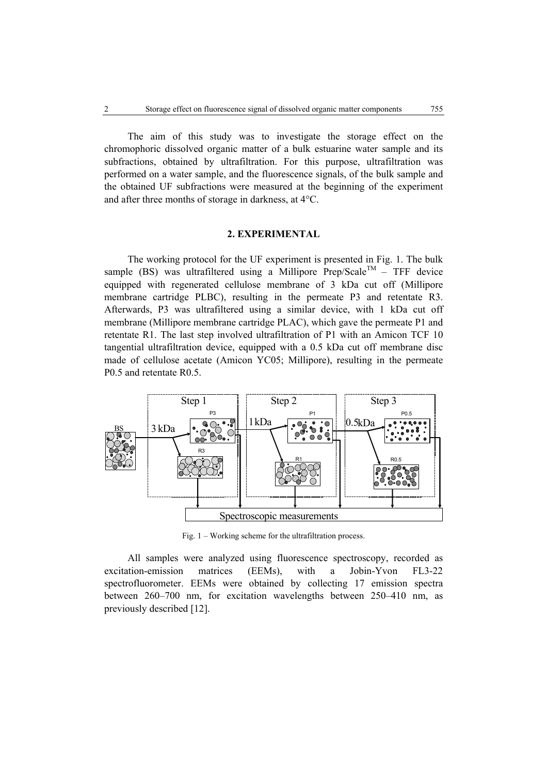The aim of this study was to investigate the storage effect on the chromophoric dissolved organic matter of a bulk estuarine water sample and its subfractions, obtained by ultrafiltration. For this purpose, ultrafiltration was performed on a water sample, and the fluorescence signals, of the bulk sample and the obtained UF subfractions were measured at the beginning of the experiment and after three months of storage in darkness, at 4°C.

#### **2. EXPERIMENTAL**

The working protocol for the UF experiment is presented in Fig. 1. The bulk sample (BS) was ultrafiltered using a Millipore Prep/Scale<sup>TM</sup> – TFF device equipped with regenerated cellulose membrane of 3 kDa cut off (Millipore membrane cartridge PLBC), resulting in the permeate P3 and retentate R3. Afterwards, P3 was ultrafiltered using a similar device, with 1 kDa cut off membrane (Millipore membrane cartridge PLAC), which gave the permeate P1 and retentate R1. The last step involved ultrafiltration of P1 with an Amicon TCF 10 tangential ultrafiltration device, equipped with a 0.5 kDa cut off membrane disc made of cellulose acetate (Amicon YC05; Millipore), resulting in the permeate P0.5 and retentate R0.5.



Fig. 1 – Working scheme for the ultrafiltration process.

All samples were analyzed using fluorescence spectroscopy, recorded as excitation-emission matrices (EEMs), with a Jobin-Yvon FL3-22 spectrofluorometer. EEMs were obtained by collecting 17 emission spectra between 260–700 nm, for excitation wavelengths between 250–410 nm, as previously described [12].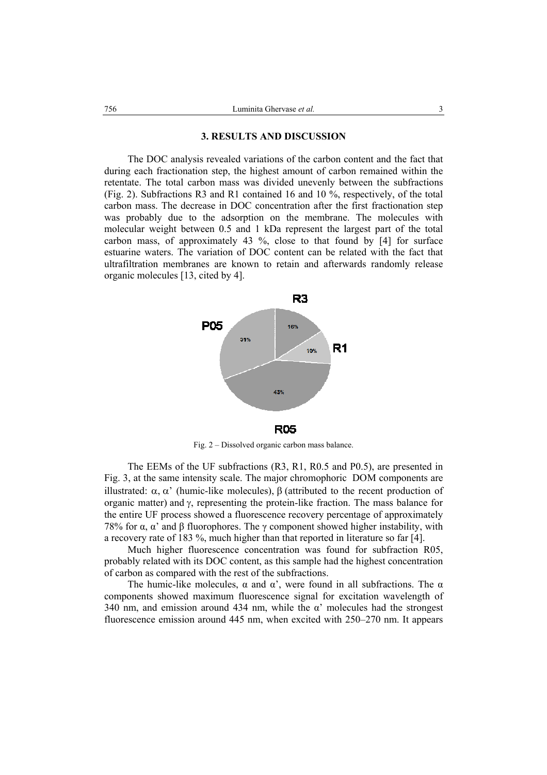#### **3. RESULTS AND DISCUSSION**

The DOC analysis revealed variations of the carbon content and the fact that during each fractionation step, the highest amount of carbon remained within the retentate. The total carbon mass was divided unevenly between the subfractions (Fig. 2). Subfractions R3 and R1 contained 16 and 10 %, respectively, of the total carbon mass. The decrease in DOC concentration after the first fractionation step was probably due to the adsorption on the membrane. The molecules with molecular weight between 0.5 and 1 kDa represent the largest part of the total carbon mass, of approximately 43 %, close to that found by [4] for surface estuarine waters. The variation of DOC content can be related with the fact that ultrafiltration membranes are known to retain and afterwards randomly release organic molecules [13, cited by 4].



Fig. 2 – Dissolved organic carbon mass balance.

The EEMs of the UF subfractions (R3, R1, R0.5 and P0.5), are presented in Fig. 3, at the same intensity scale. The major chromophoric DOM components are illustrated: α, α' (humic-like molecules), β (attributed to the recent production of organic matter) and  $\gamma$ , representing the protein-like fraction. The mass balance for the entire UF process showed a fluorescence recovery percentage of approximately 78% for α, α' and β fluorophores. The γ component showed higher instability, with a recovery rate of 183 %, much higher than that reported in literature so far [4].

Much higher fluorescence concentration was found for subfraction R05, probably related with its DOC content, as this sample had the highest concentration of carbon as compared with the rest of the subfractions.

The humic-like molecules,  $\alpha$  and  $\alpha'$ , were found in all subfractions. The  $\alpha$ components showed maximum fluorescence signal for excitation wavelength of 340 nm, and emission around 434 nm, while the  $\alpha'$  molecules had the strongest fluorescence emission around 445 nm, when excited with 250–270 nm. It appears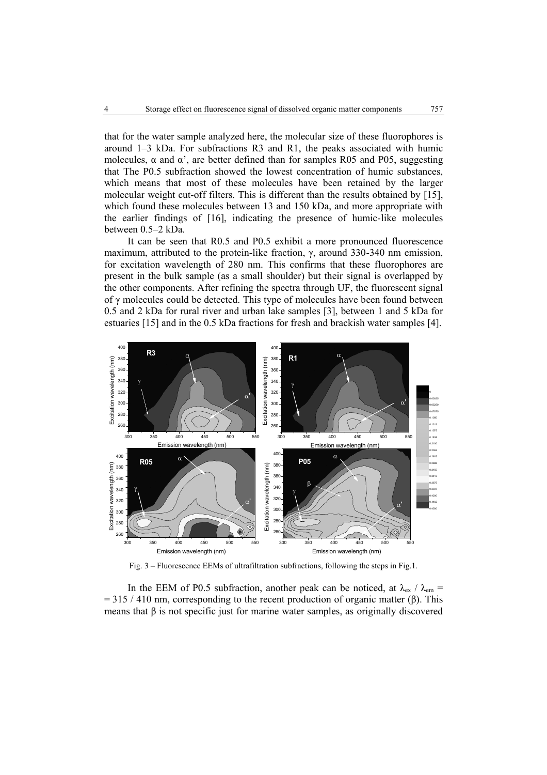that for the water sample analyzed here, the molecular size of these fluorophores is around 1–3 kDa. For subfractions R3 and R1, the peaks associated with humic molecules,  $\alpha$  and  $\alpha'$ , are better defined than for samples R05 and P05, suggesting that The P0.5 subfraction showed the lowest concentration of humic substances, which means that most of these molecules have been retained by the larger molecular weight cut-off filters. This is different than the results obtained by [15], which found these molecules between 13 and 150 kDa, and more appropriate with the earlier findings of [16], indicating the presence of humic-like molecules between 0.5–2 kDa.

It can be seen that R0.5 and P0.5 exhibit a more pronounced fluorescence maximum, attributed to the protein-like fraction, γ, around 330-340 nm emission, for excitation wavelength of 280 nm. This confirms that these fluorophores are present in the bulk sample (as a small shoulder) but their signal is overlapped by the other components. After refining the spectra through UF, the fluorescent signal of γ molecules could be detected. This type of molecules have been found between 0.5 and 2 kDa for rural river and urban lake samples [3], between 1 and 5 kDa for estuaries [15] and in the 0.5 kDa fractions for fresh and brackish water samples [4].



Fig. 3 – Fluorescence EEMs of ultrafiltration subfractions, following the steps in Fig.1.

In the EEM of P0.5 subfraction, another peak can be noticed, at  $\lambda_{ex}$  /  $\lambda_{em}$  =  $= 315 / 410$  nm, corresponding to the recent production of organic matter (β). This means that β is not specific just for marine water samples, as originally discovered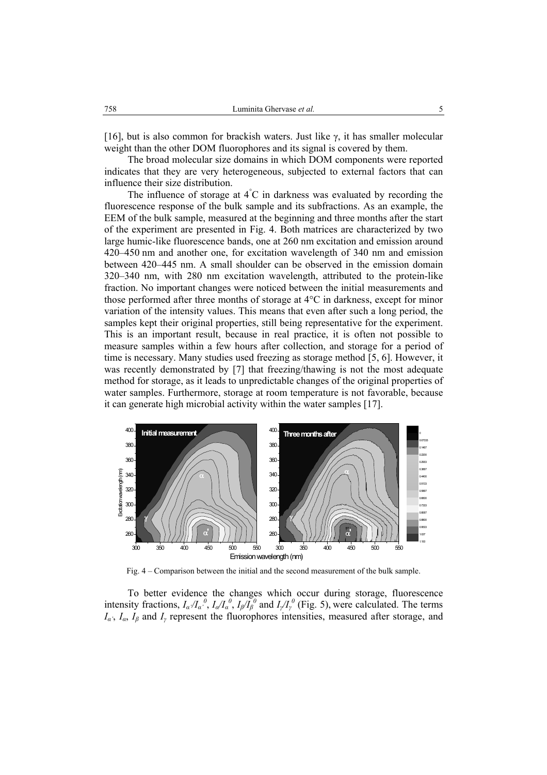[16], but is also common for brackish waters. Just like  $\gamma$ , it has smaller molecular weight than the other DOM fluorophores and its signal is covered by them.

The broad molecular size domains in which DOM components were reported indicates that they are very heterogeneous, subjected to external factors that can influence their size distribution.

The influence of storage at  $4^{\circ}$ C in darkness was evaluated by recording the fluorescence response of the bulk sample and its subfractions. As an example, the EEM of the bulk sample, measured at the beginning and three months after the start of the experiment are presented in Fig. 4. Both matrices are characterized by two large humic-like fluorescence bands, one at 260 nm excitation and emission around 420–450 nm and another one, for excitation wavelength of 340 nm and emission between 420–445 nm. A small shoulder can be observed in the emission domain 320–340 nm, with 280 nm excitation wavelength, attributed to the protein-like fraction. No important changes were noticed between the initial measurements and those performed after three months of storage at  $4^{\circ}$ C in darkness, except for minor variation of the intensity values. This means that even after such a long period, the samples kept their original properties, still being representative for the experiment. This is an important result, because in real practice, it is often not possible to measure samples within a few hours after collection, and storage for a period of time is necessary. Many studies used freezing as storage method [5, 6]. However, it was recently demonstrated by [7] that freezing/thawing is not the most adequate method for storage, as it leads to unpredictable changes of the original properties of water samples. Furthermore, storage at room temperature is not favorable, because it can generate high microbial activity within the water samples [17].



Fig. 4 – Comparison between the initial and the second measurement of the bulk sample.

To better evidence the changes which occur during storage, fluorescence intensity fractions,  $I_{\alpha}/I_{\alpha}^{0}$ ,  $I_{\alpha}/I_{\alpha}^{0}$ ,  $I_{\beta}/I_{\beta}^{0}$  and  $I_{\gamma}/I_{\gamma}^{0}$  (Fig. 5), were calculated. The terms *Iα'*, *Iα*, *Iβ* and *Iγ* represent the fluorophores intensities, measured after storage, and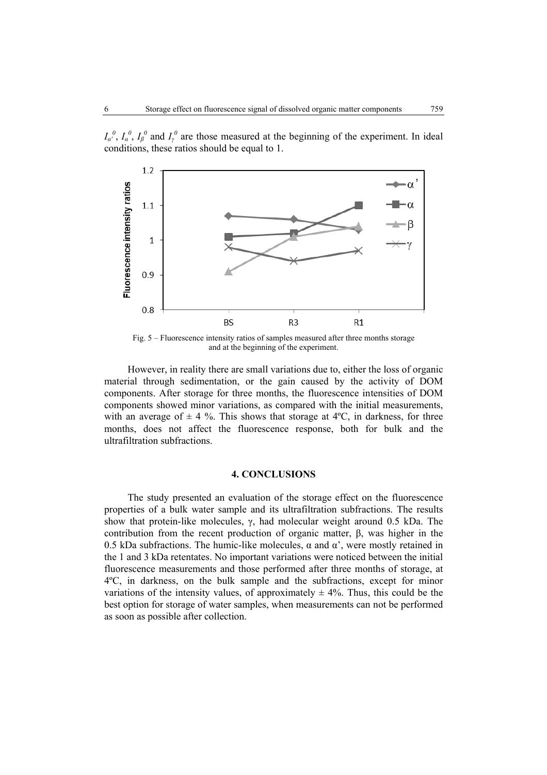



Fig. 5 – Fluorescence intensity ratios of samples measured after three months storage and at the beginning of the experiment.

However, in reality there are small variations due to, either the loss of organic material through sedimentation, or the gain caused by the activity of DOM components. After storage for three months, the fluorescence intensities of DOM components showed minor variations, as compared with the initial measurements, with an average of  $\pm$  4 %. This shows that storage at 4°C, in darkness, for three months, does not affect the fluorescence response, both for bulk and the ultrafiltration subfractions.

### **4. CONCLUSIONS**

The study presented an evaluation of the storage effect on the fluorescence properties of a bulk water sample and its ultrafiltration subfractions. The results show that protein-like molecules, γ, had molecular weight around 0.5 kDa. The contribution from the recent production of organic matter, β, was higher in the 0.5 kDa subfractions. The humic-like molecules,  $\alpha$  and  $\alpha'$ , were mostly retained in the 1 and 3 kDa retentates. No important variations were noticed between the initial fluorescence measurements and those performed after three months of storage, at 4ºC, in darkness, on the bulk sample and the subfractions, except for minor variations of the intensity values, of approximately  $\pm$  4%. Thus, this could be the best option for storage of water samples, when measurements can not be performed as soon as possible after collection.